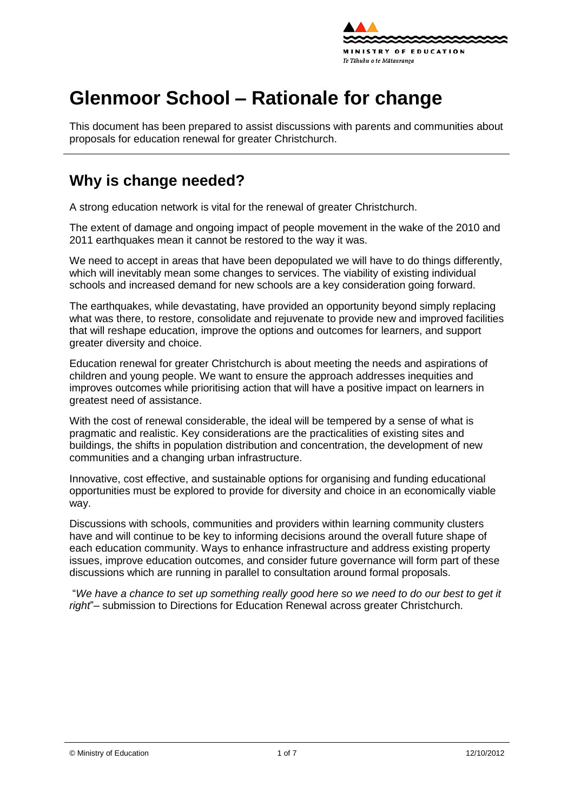

# **Glenmoor School – Rationale for change**

This document has been prepared to assist discussions with parents and communities about proposals for education renewal for greater Christchurch.

### **Why is change needed?**

A strong education network is vital for the renewal of greater Christchurch.

The extent of damage and ongoing impact of people movement in the wake of the 2010 and 2011 earthquakes mean it cannot be restored to the way it was.

We need to accept in areas that have been depopulated we will have to do things differently, which will inevitably mean some changes to services. The viability of existing individual schools and increased demand for new schools are a key consideration going forward.

The earthquakes, while devastating, have provided an opportunity beyond simply replacing what was there, to [restore,](http://shapingeducation.minedu.govt.nz/guiding-the-process-of-renewal/restore) [consolidate](http://shapingeducation.minedu.govt.nz/guiding-the-process-of-renewal/consolidate) and [rejuvenate](http://shapingeducation.minedu.govt.nz/guiding-the-process-of-renewal/rejuvenate) to provide new and improved facilities that will reshape education, improve the options and outcomes for learners, and support greater diversity and choice.

Education renewal for greater Christchurch is about meeting the needs and aspirations of children and young people. We want to ensure the approach addresses inequities and improves outcomes while prioritising action that will have a positive impact on learners in greatest need of assistance.

With the cost of renewal considerable, the ideal will be tempered by a sense of what is pragmatic and realistic. Key considerations are the practicalities of existing sites and buildings, the shifts in population distribution and concentration, the development of new communities and a changing urban infrastructure.

Innovative, cost effective, and sustainable options for organising and funding educational opportunities must be explored to provide for diversity and choice in an economically viable way.

Discussions with schools, communities and providers within learning community clusters have and will continue to be key to informing decisions around the overall future shape of each education community. Ways to enhance infrastructure and address existing property issues, improve education outcomes, and consider future governance will form part of these discussions which are running in parallel to consultation around formal proposals.

"*We have a chance to set up something really good here so we need to do our best to get it right*"– submission to Directions for Education Renewal across greater Christchurch.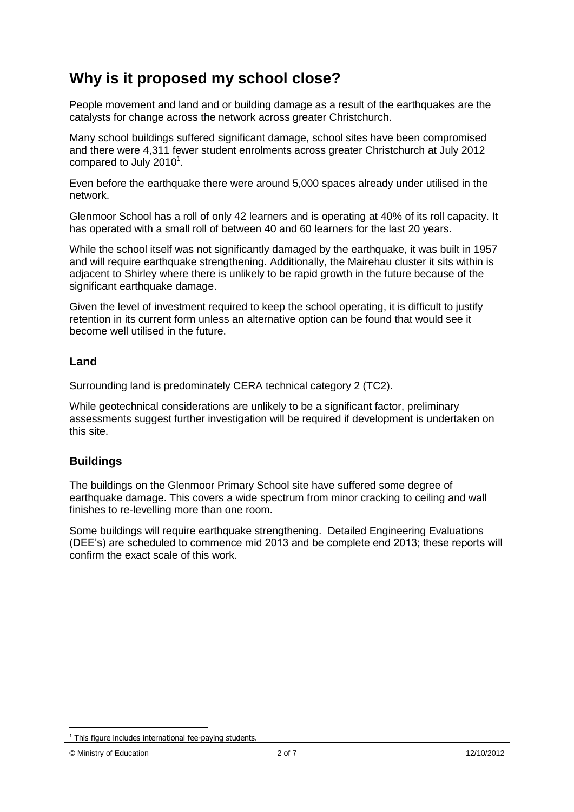## **Why is it proposed my school close?**

People movement and land and or building damage as a result of the earthquakes are the catalysts for change across the network across greater Christchurch.

Many school buildings suffered significant damage, school sites have been compromised and there were 4,311 fewer student enrolments across greater Christchurch at July 2012 compared to July 2010 $^1$ .

Even before the earthquake there were around 5,000 spaces already under utilised in the network.

Glenmoor School has a roll of only 42 learners and is operating at 40% of its roll capacity. It has operated with a small roll of between 40 and 60 learners for the last 20 years.

While the school itself was not significantly damaged by the earthquake, it was built in 1957 and will require earthquake strengthening. Additionally, the Mairehau cluster it sits within is adjacent to Shirley where there is unlikely to be rapid growth in the future because of the significant earthquake damage.

Given the level of investment required to keep the school operating, it is difficult to justify retention in its current form unless an alternative option can be found that would see it become well utilised in the future.

#### **Land**

Surrounding land is predominately CERA technical category 2 (TC2).

While geotechnical considerations are unlikely to be a significant factor, preliminary assessments suggest further investigation will be required if development is undertaken on this site.

### **Buildings**

The buildings on the Glenmoor Primary School site have suffered some degree of earthquake damage. This covers a wide spectrum from minor cracking to ceiling and wall finishes to re-levelling more than one room.

Some buildings will require earthquake strengthening. Detailed Engineering Evaluations (DEE"s) are scheduled to commence mid 2013 and be complete end 2013; these reports will confirm the exact scale of this work.

<sup>1</sup>  $1$  This figure includes international fee-paying students.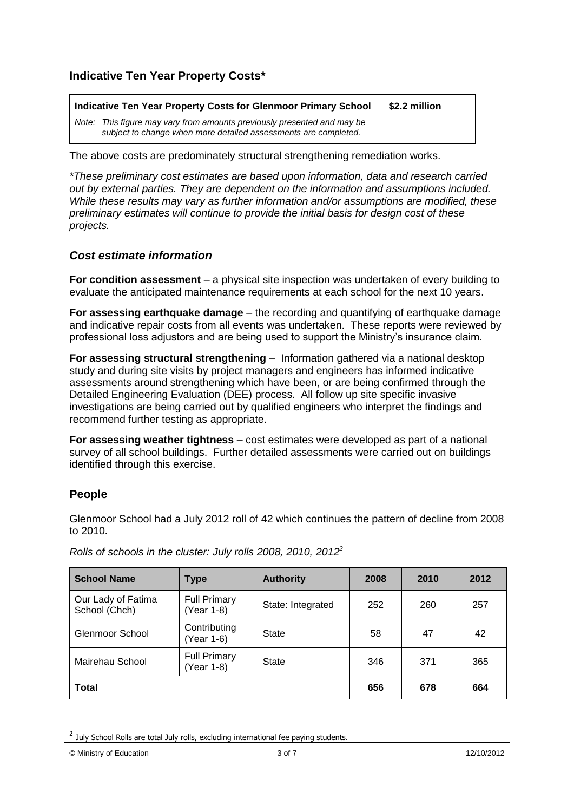### **Indicative Ten Year Property Costs\***

| Indicative Ten Year Property Costs for Glenmoor Primary School                                                                             | \$2.2 million |
|--------------------------------------------------------------------------------------------------------------------------------------------|---------------|
| Note: This figure may vary from amounts previously presented and may be<br>subject to change when more detailed assessments are completed. |               |

The above costs are predominately structural strengthening remediation works.

*\*These preliminary cost estimates are based upon information, data and research carried out by external parties. They are dependent on the information and assumptions included. While these results may vary as further information and/or assumptions are modified, these preliminary estimates will continue to provide the initial basis for design cost of these projects.*

#### *Cost estimate information*

**For condition assessment** – a physical site inspection was undertaken of every building to evaluate the anticipated maintenance requirements at each school for the next 10 years.

**For assessing earthquake damage** – the recording and quantifying of earthquake damage and indicative repair costs from all events was undertaken. These reports were reviewed by professional loss adjustors and are being used to support the Ministry"s insurance claim.

**For assessing structural strengthening** – Information gathered via a national desktop study and during site visits by project managers and engineers has informed indicative assessments around strengthening which have been, or are being confirmed through the Detailed Engineering Evaluation (DEE) process. All follow up site specific invasive investigations are being carried out by qualified engineers who interpret the findings and recommend further testing as appropriate.

**For assessing weather tightness** – cost estimates were developed as part of a national survey of all school buildings. Further detailed assessments were carried out on buildings identified through this exercise.

### **People**

Glenmoor School had a July 2012 roll of 42 which continues the pattern of decline from 2008 to 2010.

| <b>School Name</b>                  | Type                              | <b>Authority</b>  | 2008 | 2010 | 2012 |
|-------------------------------------|-----------------------------------|-------------------|------|------|------|
| Our Lady of Fatima<br>School (Chch) | <b>Full Primary</b><br>(Year 1-8) | State: Integrated | 252  | 260  | 257  |
| Glenmoor School                     | Contributing<br>(Year 1-6)        | <b>State</b>      | 58   | 47   | 42   |
| Mairehau School                     | <b>Full Primary</b><br>(Year 1-8) | State             | 346  | 371  | 365  |
| <b>Total</b>                        |                                   | 656               | 678  | 664  |      |

*Rolls of schools in the cluster: July rolls 2008, 2010, 2012<sup>2</sup>*

© Ministry of Education 3 of 7 12/10/2012

1

 $<sup>2</sup>$  July School Rolls are total July rolls, excluding international fee paying students.</sup>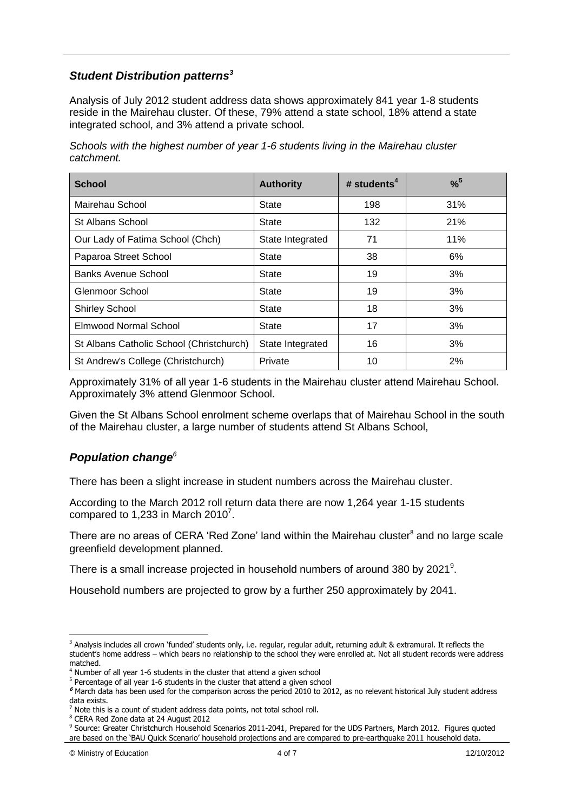#### *Student Distribution patterns<sup>3</sup>*

Analysis of July 2012 student address data shows approximately 841 year 1-8 students reside in the Mairehau cluster. Of these, 79% attend a state school, 18% attend a state integrated school, and 3% attend a private school.

*Schools with the highest number of year 1-6 students living in the Mairehau cluster catchment.*

| <b>School</b>                            | <b>Authority</b> | # students $4$ | $%^{5}$ |
|------------------------------------------|------------------|----------------|---------|
| Mairehau School                          | State            | 198            | 31%     |
| St Albans School                         | State            | 132            | 21%     |
| Our Lady of Fatima School (Chch)         | State Integrated | 71             | 11%     |
| Paparoa Street School                    | State            | 38             | 6%      |
| <b>Banks Avenue School</b>               | State            | 19             | 3%      |
| Glenmoor School                          | State            | 19             | 3%      |
| <b>Shirley School</b>                    | State            | 18             | 3%      |
| <b>Elmwood Normal School</b>             | State            | 17             | 3%      |
| St Albans Catholic School (Christchurch) | State Integrated | 16             | 3%      |
| St Andrew's College (Christchurch)       | Private          | 10             | 2%      |

Approximately 31% of all year 1-6 students in the Mairehau cluster attend Mairehau School. Approximately 3% attend Glenmoor School.

Given the St Albans School enrolment scheme overlaps that of Mairehau School in the south of the Mairehau cluster, a large number of students attend St Albans School,

### *Population change<sup>6</sup>*

There has been a slight increase in student numbers across the Mairehau cluster.

According to the March 2012 roll return data there are now 1,264 year 1-15 students compared to 1,233 in March 2010 $^7$ .

There are no areas of CERA 'Red Zone' land within the Mairehau cluster<sup>8</sup> and no large scale greenfield development planned.

There is a small increase projected in household numbers of around 380 by 2021<sup>9</sup>.

Household numbers are projected to grow by a further 250 approximately by 2041.

<u>.</u>

 $3$  Analysis includes all crown 'funded' students only, i.e. regular, regular adult, returning adult & extramural. It reflects the student's home address – which bears no relationship to the school they were enrolled at. Not all student records were address matched.

<sup>&</sup>lt;sup>4</sup> Number of all year 1-6 students in the cluster that attend a given school

<sup>&</sup>lt;sup>5</sup> Percentage of all year 1-6 students in the cluster that attend a given school

**<sup>6</sup>** March data has been used for the comparison across the period 2010 to 2012, as no relevant historical July student address data exists.

Note this is a count of student address data points, not total school roll.

<sup>8</sup> CERA Red Zone data at 24 August 2012

<sup>&</sup>lt;sup>9</sup> Source: Greater Christchurch Household Scenarios 2011-2041, Prepared for the UDS Partners, March 2012. Figures quoted are based on the 'BAU Quick Scenario' household projections and are compared to pre-earthquake 2011 household data.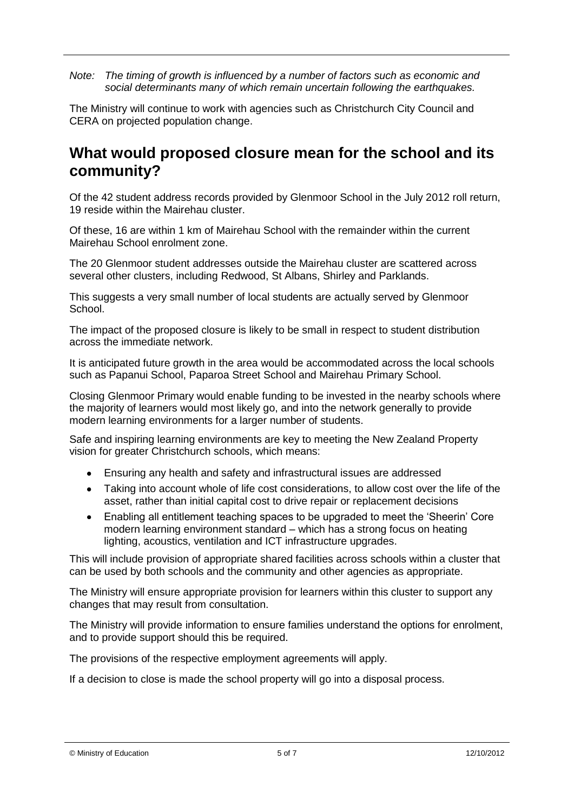*Note: The timing of growth is influenced by a number of factors such as economic and social determinants many of which remain uncertain following the earthquakes.*

The Ministry will continue to work with agencies such as Christchurch City Council and CERA on projected population change.

### **What would proposed closure mean for the school and its community?**

Of the 42 student address records provided by Glenmoor School in the July 2012 roll return, 19 reside within the Mairehau cluster.

Of these, 16 are within 1 km of Mairehau School with the remainder within the current Mairehau School enrolment zone.

The 20 Glenmoor student addresses outside the Mairehau cluster are scattered across several other clusters, including Redwood, St Albans, Shirley and Parklands.

This suggests a very small number of local students are actually served by Glenmoor School.

The impact of the proposed closure is likely to be small in respect to student distribution across the immediate network.

It is anticipated future growth in the area would be accommodated across the local schools such as Papanui School, Paparoa Street School and Mairehau Primary School.

Closing Glenmoor Primary would enable funding to be invested in the nearby schools where the majority of learners would most likely go, and into the network generally to provide modern learning environments for a larger number of students.

Safe and inspiring learning environments are key to meeting the New Zealand Property vision for greater Christchurch schools, which means:

- Ensuring any health and safety and infrastructural issues are addressed  $\bullet$
- Taking into account whole of life cost considerations, to allow cost over the life of the asset, rather than initial capital cost to drive repair or replacement decisions
- Enabling all entitlement teaching spaces to be upgraded to meet the "Sheerin" Core  $\bullet$ modern learning environment standard – which has a strong focus on heating lighting, acoustics, ventilation and ICT infrastructure upgrades.

This will include provision of appropriate shared facilities across schools within a cluster that can be used by both schools and the community and other agencies as appropriate.

The Ministry will ensure appropriate provision for learners within this cluster to support any changes that may result from consultation.

The Ministry will provide information to ensure families understand the options for enrolment, and to provide support should this be required.

The provisions of the respective employment agreements will apply.

If a decision to close is made the school property will go into a disposal process.

© Ministry of Education 5 of 7 12/10/2012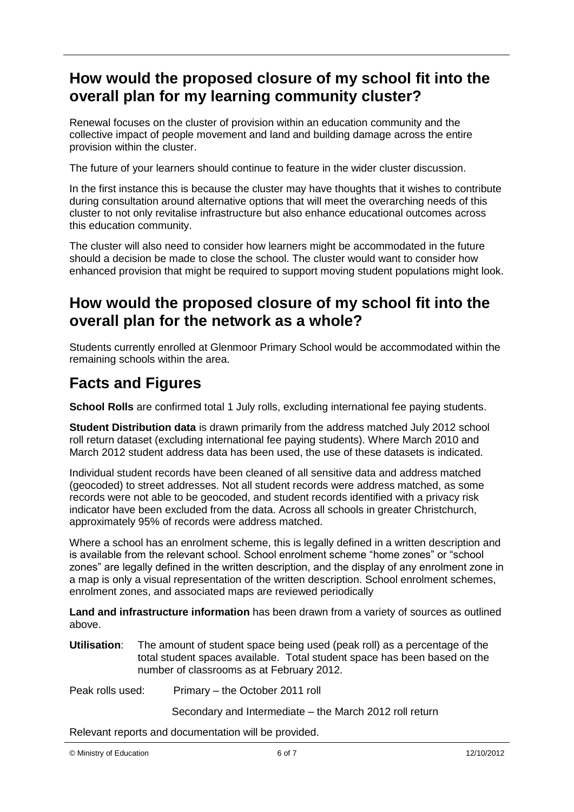## **How would the proposed closure of my school fit into the overall plan for my learning community cluster?**

Renewal focuses on the cluster of provision within an education community and the collective impact of people movement and land and building damage across the entire provision within the cluster.

The future of your learners should continue to feature in the wider cluster discussion.

In the first instance this is because the cluster may have thoughts that it wishes to contribute during consultation around alternative options that will meet the overarching needs of this cluster to not only revitalise infrastructure but also enhance educational outcomes across this education community.

The cluster will also need to consider how learners might be accommodated in the future should a decision be made to close the school. The cluster would want to consider how enhanced provision that might be required to support moving student populations might look.

### **How would the proposed closure of my school fit into the overall plan for the network as a whole?**

Students currently enrolled at Glenmoor Primary School would be accommodated within the remaining schools within the area.

## **Facts and Figures**

**School Rolls** are confirmed total 1 July rolls, excluding international fee paying students.

**Student Distribution data** is drawn primarily from the address matched July 2012 school roll return dataset (excluding international fee paying students). Where March 2010 and March 2012 student address data has been used, the use of these datasets is indicated.

Individual student records have been cleaned of all sensitive data and address matched (geocoded) to street addresses. Not all student records were address matched, as some records were not able to be geocoded, and student records identified with a privacy risk indicator have been excluded from the data. Across all schools in greater Christchurch, approximately 95% of records were address matched.

Where a school has an enrolment scheme, this is legally defined in a written description and is available from the relevant school. School enrolment scheme "home zones" or "school zones" are legally defined in the written description, and the display of any enrolment zone in a map is only a visual representation of the written description. School enrolment schemes, enrolment zones, and associated maps are reviewed periodically

**Land and infrastructure information** has been drawn from a variety of sources as outlined above.

**Utilisation**: The amount of student space being used (peak roll) as a percentage of the total student spaces available. Total student space has been based on the number of classrooms as at February 2012.

Peak rolls used: Primary – the October 2011 roll

Secondary and Intermediate – the March 2012 roll return

Relevant reports and documentation will be provided.